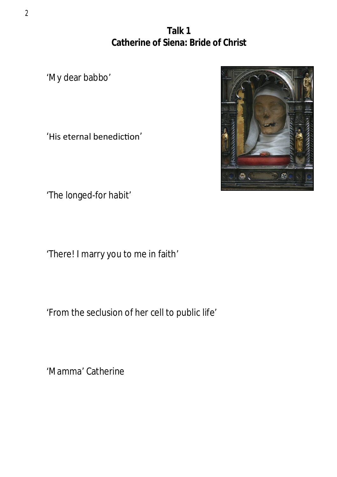**Talk 1 Catherine of Siena: Bride of Christ**

'My dear babbo'

'His eternal benediction'

'The longed-for habit'

'There! I marry you to me in faith'

'From the seclusion of her cell to public life'

'Mamma' Catherine



2